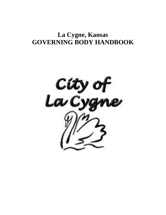# **La Cygne, Kansas GOVERNING BODY HANDBOOK**

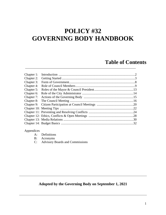# **POLICY #32 GOVERNING BODY HANDBOOK**

## **Table of Contents**

| Chapter 1: |     |
|------------|-----|
| Chapter 2: |     |
| Chapter 3: |     |
| Chapter 4: |     |
| Chapter 5: |     |
| Chapter 6: |     |
| Chapter 7: |     |
| Chapter 8: |     |
|            |     |
|            |     |
|            | .24 |
|            |     |
|            |     |
|            |     |

\_\_\_\_\_\_\_\_\_\_\_\_\_\_\_\_\_\_\_\_\_\_\_\_\_\_\_\_\_\_\_\_\_\_\_\_\_\_\_\_\_\_\_\_\_\_\_\_\_\_\_\_\_\_\_\_\_\_\_\_\_\_\_\_\_\_\_\_

## Appendices

| Definitions<br>A: |
|-------------------|
|-------------------|

B: Acronyms

C: Advisory Boards and Commissions

## **Adopted by the Governing Body on September 1, 2021**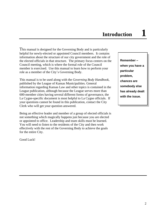This manual is designed for the Governing Body and is particularly helpful for newly-elected or appointed Council members. It contains information about the structure of our city government and the role of the elected officials in that structure. The primary focus centers on the Council meeting, which is where the formal role of the Council member is exercised. Use this manual to learn how to perform your role as a member of the City's Governing Body.

This manual is to be used along with the *Governing Body Handbook*, published by the League of Kansas Municipalities. General information regarding Kansas Law and other topics is contained in the League publication, although because the League serves more than 600-member cities having several different forms of governance, the La Cygne-specific document is most helpful to La Cygne officials. If your questions cannot be found in this publication, contact the City Clerk who will get your question answered.

Being an effective leader and member of a group of elected officials is not something which magically happens just because you are elected or appointed to office. Leadership and team skills must be learned. You will need to listen to the residents of the City and then work effectively with the rest of the Governing Body to achieve the goals for the entire City.

Good Luck!

**Remember – when you have a particular problem, chances are somebody else has already dealt with the issue.**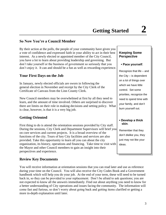## **So Now You're a Council Member**

By their action at the polls, the people of your community have given you a vote of confidence and expressed faith in your ability to act in their best interest. As a newly elected or appointed member of the City Council, you have a lot to learn about providing leadership and governing. But don't take yourself or the business of government so seriously that you don't enjoy it. It can and should be a fun as well as rewarding experience.

## **Your First Days on the Job**

In January, newly elected officials are sworn in following the general election in November and receipt by the City Clerk of the Certificate of Canvass from the Linn County Clerk.

New Council members may be overwhelmed at first by all they need to learn, and the amount of time involved. Others are surprised to discover there are limits on their role in making decisions and setting policy. What is clear, however, is that it is a very big job.

## **Getting Oriented**

First thing to do is attend the orientation sessions provided by City staff. During the sessions, City Clerk and Department Supervisors will brief you on core services and current projects. It is a broad overview of the functions of the city. Tours of key City facilities and services are also provided. Take this opportunity to learn all you can about the city organization, its history, operations and financing. Take time to visit with the Mayor and other Council members to gain an insight into their perspectives and experience.

## **Review Key Documents**

You will receive information at orientation sessions that you can read later and use as reference during your time on the Council. You will also receive the City Codes Book and a Government handbook which will help you do your job. At the end of your term, these will need to be turned back in, so they can be provided to your replacement. Don't be afraid to ask questions; you are not expected to know all the answers immediately. Find out about anything you need to know for a better understanding of City operations and issues facing the community. The information will come fast and furious, so don't worry about going back and getting items clarified or getting a more in-depth explanation until later.

## **Keeping Some Perspective**

#### **▪ Pace yourself**.

Recognize that life – and the City – is dependent on a lot of things over which we have little control. Set some priorities, recognize the need to spend time with your family, and don't burn yourself out.

#### **▪ Develop a thick skin**.

Remember that they don't dislike you, they just may not like your ideas.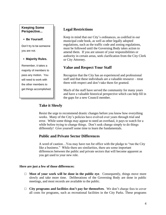## **Keeping Some Perspective...**

#### **▪ Be Yourself**.

Don't try to be someone you are not.

## **▪ Majority Rules.**

Remember, it takes a majority of members to pass any motion. You will need to work with the other members to get things accomplished.

## **Legal Restrictions**

Keep in mind that our City's ordinances, as codified in our municipal code book, as well as other legally adopted regulations, such as the traffic code and zoning regulations, must be followed until the Governing Body takes action to amend them. If you are unsure of your responsibilities or authority in certain areas, seek clarification from the City Clerk or City Attorney.

## **Value and Respect Your Staff**

Recognize that the City has an experienced and professional staff and that these individuals are a valuable resource – treat them with respect and don't take them for granted.

Much of the staff have served the community for many years and have a valuable historical perspective which can help fill in the gaps for a new Council member.

## **Take it Slowly**

Resist the urge to recommend drastic changes before you know how everything works. Many of the City's policies have evolved over years through trial and error. While some things may appear to need an overhaul, it pays to watch for a while before trying to change things. Don't seek change simply to do things differently! Give yourself some time to learn the fundamentals.

## **Public and Private Sector Differences**

A word of caution…You may have run for office with the pledge to "run the City like a business." While there are similarities, there are some important differences between the public and private sectors that will become apparent as you get used to your new role.

## **Here are just a few of those differences:**

- $\Box$  **Most of your work will be done in the public eye**. Consequently, things move more slowly and take more time. Deliberations of the Governing Body are done in public meetings, and most records are available to the public.
- □ **City programs and facilities don't pay for themselves**. We don't charge fees to cover all costs for programs, such as recreational facilities in the City Parks. These programs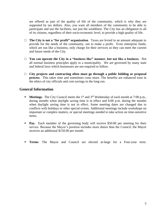are offered as part of the quality of life of the community, which is why they are supported by tax dollars. Also, you want all members of the community to be able to participate and use the facilities, not just the wealthiest. The City has an obligation to all of its citizens, regardless of their socio-economic level, to provide a high quality of life.

- □ **The City is not a "for profit" organization**. Taxes are levied in an amount adequate to provide for the needs of the community, not to make a profit. Even enterprise funds, which are run like a business, only charge for their services so they can meet the current and future needs of the City.
- □ **You can operate the City in a "business like" manner, but not like a business**. Not all normal business principles apply to a municipality. We are governed by many state and federal laws which businesses are not required to follow.
- □ **City projects and contracting often must go through a public bidding or proposal process**. This takes time and sometimes costs more. The benefits are enhanced trust in the ethics of city officials and cost-savings in the long run.

## **General Information**

- **Meetings.** The City Council meets the 1<sup>st</sup> and 3<sup>rd</sup> Wednesday of each month at 7:00 p.m., during months when daylight saving time is in effect and 6:00 p.m. during the months when daylight saving time is not in effect. Some meeting dates are changed due to conflicts with holidays or other special events. Additional meetings include workshops on important or complex matters, or special meetings needed to take action on time-sensitive items.
- **Pay.** Each member of the governing body will receive \$50.00 per meeting for their service. Because the Mayor's position includes more duties than the Council, the Mayor receives an additional \$150.00 per month.
- **Terms:** The Mayor and Council are elected at-large for a Four-year term.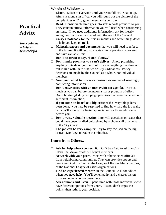# **Practical Advice**

*Some pointers to help you be successful*

## **Words of Wisdom…**

- □ Listen. Listen to everyone until your ears fall off. Soak it up. After six months in office, you will round out the picture of the complexities of City government and your role.
- □ **Read.** Considerable time goes into staff reports provided to you. They contain critical information you will need when considering an issue. If you need additional information, ask for it early enough so that it can be shared with the rest of the Council.
- $\Box$  **Carry a notebook** for the first six months and write things down to help you keep on track.
- □ **Maintain papers and documents** that you will need to refer to in the future. It will help you review items previously covered and save valuable time.
- □ **Don't be afraid to say, "I don't know."**
- □ **Don't make promises you can't deliver!** Avoid promising anything outside of your term of office or anything that does not fall in line with State Statutes or City Ordinances. Policy decisions are made by the Council as a whole, not individual members.
- □ **Gear your mind to process** a tremendous amount of seemingly conflicting information.
- □ **Don't enter office with an unmovable set agenda**. Learn as much as you can before taking on a major program of effort. Don't be strangled by campaign promises that were made without sufficient information.
- □ **If you come on board as a big critic** of the "way things have been done," you may be surprised to find how hard the job really is. You'll soon gain a better appreciation for those who came before you.
- □ **Don't waste valuable meeting time** with questions or issues that could have been handled beforehand by a phone call or an email to the City Clerk.
- $\Box$  **The job can be very complex** try to stay focused on the big issues. Don't get mired in the minutiae.

## **Learn from Others…**

- $\Box$  **Ask for help when you need it**. Don't be afraid to ask the City Clerk, the Mayor or other Council members.
- □ **Network with your peers**. Meet with other elected officials from neighboring communities. They can provide support and new ideas. Get involved in the League of Kansas Municipalities, or the National League of Cities organizations.
- □ **Find an experienced mentor** on the Council. Ask for advice when you need help. You'll get empathy and a clearer vision from someone who has been there.
- □ **Ask opinions and listen**. Spend time with those individuals who have different opinions from yours. Listen, don't argue the points, then rethink your position.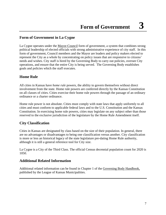## **Form of Government in La Cygne**

La Cygne operates under the Mayor-Council form of government, a system that combines strong political leadership of elected officials with strong administrative experience of city staff. In this form of government, Council members and the Mayor are leaders and policy makers elected to represent the City as a whole by concentrating on policy issues that are responsive to citizens' needs and wishes. City staff is hired by the Governing Body to carry out policies, oversee City operations, and ensure that the entire City is being served. The Governing Body establishes goals and policies which the staff executes.

## **Home Rule**

All cities in Kansas have *home rule* powers, the ability to govern themselves without direct involvement from the state. Home rule powers are conferred directly by the Kansas Constitution on all classes of cities. Cities exercise their home rule powers through the passage of an ordinary ordinance or a charter ordinance.

Home rule power is not absolute. Cities must comply with state laws that apply uniformly to all cities and must conform to applicable federal laws and to the U.S. Constitution and the Kansas Constitution. In exercising home rule powers, cities may legislate on any subject other than those reserved to the exclusive jurisdiction of the legislature by the Home Rule Amendment itself.

## **City Classification**

Cities in Kansas are designated by class based on the size of their population. In general, there are no advantages or disadvantages to being one classification versus another. City classification is more or less an historical legacy of the state legislature pre-dating Home Rule authority, although it is still a general reference tool for City size.

La Cygne is a City of the Third Class. The official Census decennial population count for 2020 is 1050.

## **Additional Related Information**

Additional related information can be found in Chapter 1 of the Governing Body Handbook, published by the League of Kansas Municipalities.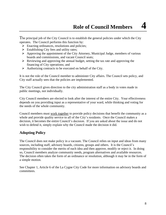The principal job of the City Council is to establish the general policies under which the City operates. The Council performs this function by:

- $\triangleright$  Enacting ordinances, resolutions and policies;
- $\triangleright$  Establishing City fees and utility rates;
- ➢ Approving the appointment of the City Attorney, Municipal Judge, members of various boards and [commissions,](http://www.charmeck.org/Departments/City+Clerk/Boards+and+Commissions/) and vacant Council seats;
- ➢ Reviewing and approving the annual budget, setting the tax rate and approving the financing of City operations; and
- $\triangleright$  Authorizing contracts to be executed on behalf of the City.

It is not the role of the Council member to administer City affairs. The Council sets policy, and City staff actually sees that the policies are implemented.

The City Council gives direction to the city administration staff as a body in votes made in public meetings, not individually.

City Council members are elected to look after the interest of the entire City. Your effectiveness depends on you providing input as a representative of your ward, while thinking and voting for the needs of the whole community.

Council members must work together to provide policy decisions that benefit the community as a whole and provide quality service to all of the City's residents. Once the Council makes a decision, it becomes the entire Council's decision. If you are asked about the issue and do not wish to defend it, simply explain why the Council made the decision it did.

## **Adopting Policy**

The Council does not make policy in a vacuum. The Council relies on input and ideas from many sources, including staff, advisory boards, citizens, groups and others. It is the Council's responsibility to consider the merits of each idea and then approve, modify or reject it. In doing so, Council members analyze community needs, program alternatives and available resources. The decision often takes the form of an ordinance or resolution, although it may be in the form of a simple motion.

See Chapter 1, Article 6 of the La Cygne City Code for more information on advisory boards and committees.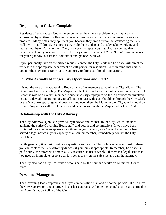## **Responding to Citizen Complaints**

Residents often contact a Council member when they have a problem. You may also be approached by a citizen, colleague, or even a friend about City operations, issues or service problems. Many times, they approach you because they aren't aware that contacting the City Hall or City staff directly is appropriate. Help them understand this by acknowledging and redirecting them. You may say: "Yes, I can see that upset you. I apologize you had that experience. Have you shared this with the City administrative staff?" or "I don't have an answer for you right now, but let me look into it and get back with you."

If you personally take on the citizen request, contact the City Clerk and he or she will direct the request to the appropriate department or staff person for resolution. Keep in mind that neither you nor the Governing Body has the authority to direct staff to take any action.

## **So, Who Actually Manages City Operations and Staff?**

It is not the role of the Governing Body or any of its members to administer City affairs. The Governing Body sets policy. The Mayor and the City Staff sees that policies are implemented. It is not the role of a Council member to supervise City employees on the job or become involved in day-to-day administration of City affairs. Contact with staff should be through the City Clerk or the Mayor except for general questions and even then, the Mayor and/or City Clerk should be copied. Any issues with employees should be addressed with the Mayor and/or City Clerk.

## **Relationship with the City Attorney**

The City Attorney's job is to provide legal advice and counsel to the City, which includes advising the entire Governing Body, staff, and boards and commissions. If you have been contacted by someone to appear as a witness in your capacity as a Council member or been served a legal notice in your capacity as a Council member, immediately contact the City Attorney.

While generally it is best to ask your questions to the City Clerk who can answer most of them, you can contact the City Attorney directly if you think it appropriate. Remember, he or she is paid hourly, the attorney's time is a City resource, so use it wisely. If there is a legal issue that you need an immediate response to, it is better to err on the safe side and call the attorney.

The City also has a City Prosecutor, who is paid by the hour and works on Municipal Court cases.

## **Personnel Management**

The Governing Body approves the City's compensation plan and personnel policies. It also hires the City Supervisors and approves his or her contracts. All other personnel actions are defined in the Administrative Policy of the City.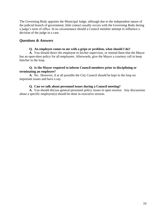The Governing Body appoints the Municipal Judge, although due to the independent nature of the judicial branch of government, little contact usually occurs with the Governing Body during a judge's term of office. In no circumstance should a Council member attempt to influence a decision of the judge in a case.

## *Questions & Answers*

#### **Q. An employee comes to me with a gripe or problem, what should I do?**

**A.** You should direct the employee to his/her supervisor, or remind them that the Mayor has an open-door policy for all employees. Afterwards, give the Mayor a courtesy call to keep him/her in the loop.

#### **Q. Is the Mayor required to inform Council members prior to disciplining or terminating an employee?**

**A.** No. However, if at all possible the City Council should be kept in the loop on important issues and have a say.

## **Q. Can we talk about personnel issues during a Council meeting?**

**A.** You should discuss general personnel policy issues in open session. Any discussions about a specific employee(s) should be done in executive session.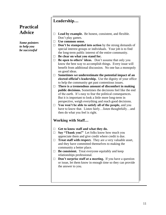## **Practical Advice**

*Some pointers to help you be successful*

## **Leadership…**

- □ **Lead by example.** Be honest, consistent, and flexible. Don't play games.
- □ **Use common sense.**
- □ **Don't be stampeded into action** by the strong demands of special interest groups or individuals. Your job is to find the long-term public interest of the entire community.
- □ **Be clear on what you stand for.**
- □ **Be open to others' ideas.** Don't assume that only you know the best way to accomplish things. Every issue will benefit from additional discussion. No one has a monopoly on good ideas.
- □ Sometimes we underestimate the potential impact of an **elected official's leadership.** Use the dignity of your office to help the community get past contentious issues.
- □ **There is a tremendous amount of discomfort in making public decisions.** Sometimes the decisions feel like the end of the earth. It's easy to fear the political consequences. But it is important to look a little more long-term in perspective, weigh everything and reach good decisions.
- □ **You won't be able to satisfy all of the people,** and you have to know that. Listen fairly…listen thoughtfully…and then do what you feel is right.

## **Working with Staff…**

- □ **Get to know staff and what they do.**
- □ **Say "Thank you!"** Let folks know how much you appreciate them and give credit where credit is due.
- □ **Treat staff with respect.** They are a very valuable asset, and they have committed themselves to making the community a better place.
- □ **Be consistent.** Treat everyone equitably and keep relationships professional.
- □ **Don't surprise staff at a meeting.** If you have a question or issue, let them know in enough time so they can provide the answer to you.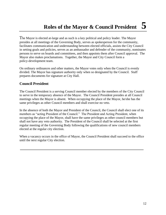The Mayor is elected at-large and as such is a key political and policy leader. The Mayor presides at all meetings of the Governing Body, serves as spokesperson for the community, facilitates communication and understanding between elected officials, assists the City Council in setting goals and policies, serves as an ambassador and defender of the community, nominates persons to serve on boards and committees, and then appoints them after Council approval. The Mayor also makes proclamations. Together, the Mayor and City Council form a policy-development team.

On ordinary ordinances and other matters, the Mayor votes only when the Council is evenly divided. The Mayor has signature authority only when so designated by the Council. Staff prepares documents for signature at City Hall.

## **Council President**

The Council President is a serving Council member elected by the members of the City Council to serve in the temporary absence of the Mayor. The Council President presides at all Council meetings when the Mayor is absent. When occupying the place of the Mayor, he/she has the same privileges as other Council members and shall exercise no veto.

In the absence of both the Mayor and President of the Council, the Council shall elect one of its members as "acting President of the Council." The President and Acting President, when occupying the place of the Mayor, shall have the same privileges as other council members but shall not have any veto authority. The President of the Council shall be selected at the first regular meeting of the Governing Body following the qualifications of new council members elected at the regular city election.

When a vacancy occurs in the office of Mayor, the Council President shall succeed to the office until the next regular City election.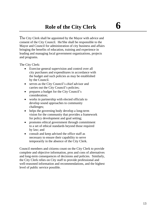The City Clerk shall be appointed by the Mayor with advice and consent of the City Council. He/She shall be responsible to the Mayor and Council for administration of city business and affairs bringing the benefits of education, training and experience in leading and managing local government organizations, projects and programs.

The City Clerk:

- Exercise general supervision and control over all city purchases and expenditures in accordance with the budget and such policies as may be established by the Council.
- serves as the City Council's chief advisor and carries out the City Council's policies;
- prepares a budget for the City Council's consideration;
- works in partnership with elected officials to develop sound approaches to community challenges;
- helps the governing body develop a long-term vision for the community that provides a framework for policy development and goal setting;
- promotes ethical government through commitment to a set of ethical standards beyond those required by law; and
- consult and keep advised the office staff as necessary to ensure their capability to serve temporarily in the absence of the City Clerk.

Council members and citizens count on the City Clerk to provide complete and objective information, pros and cons of alternatives and long-term consequences of decisions and policies. Similarly, the City Clerk relies on City staff to provide professional and well-reasoned information and recommendations, and the highest level of public service possible.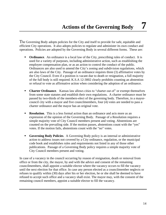The Governing Body adopts policies for the City and itself to provide for safe, equitable and efficient City operations. It also adopts policies to regulate and administer its own conduct and operations. Policies are adopted by the Governing Body in several different forms. These are:

- **Ordinance**. An ordinance is a local law of the City, prescribing rules of conduct. It is used for a variety of purposes, including administrative action, such as establishing the employee compensation plan, or as an action to control the conduct of the public. Ordinances are also used to amend the City's zoning and subdivision regulations, which are also laws of the City. Passage of an ordinance requires three (3) affirmative votes by the City Council. Even if a position is vacant due to death or resignation, a full majority of the full body is still required. K.S.A 12-3002 clearly prohibits counting an abstention or refusal to vote as affirmative action when considering the adoption of an ordinance.
- **Charter Ordinance.** Kansas law allows cities to "charter out of" or exempt themselves from some state statutes and establish their own regulations. A charter ordinance must be passed by two-thirds of the members-elect of the governing body. Therefore, in a mayorcouncil city with a mayor and five councilmembers, four (4) votes are needed to pass a charter ordinance and the mayor has an original vote.
- **Resolution**. This is a less formal action than an ordinance and acts more as an expression of the opinion of the Governing Body. Passage of a Resolution requires a simple majority vote of City Council members present and voting. Abstentions are counted on the prevailing side. If the motion passes, abstentions count with the "yes" votes. If the motion fails, abstentions count with the "no" votes.
- **Governing Body Policies**. A Governing Body policy is an internal or administrative action to address issues not covered by a City ordinance, regulation, or the municipal code book and establishes rules and requirements not listed in any of those other publications. Passage of a Governing Body policy requires a simple majority vote of City Council members present and voting.

In case of a vacancy in the council occurring by reason of resignation, death or removal from office or from the city, the mayor, by and with the advice and consent of the remaining councilmembers, shall appoint a suitable elector where the vacancy occurs to fill the vacancy until the next election for that office. In case any person elected as a councilmember neglects or refuses to qualify within (30) days after his or her election, he or she shall be deemed to have refused to accept such office and a vacancy shall exist. The mayor may, with the consent of the remaining council members, appoint a suitable elector to fill the vacancy.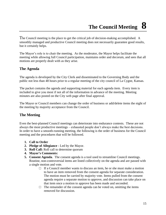The Council meeting is the place to get the critical job of decision-making accomplished. A smoothly managed and productive Council meeting does not necessarily guarantee good results, but it certainly helps.

The Mayor's role is to chair the meeting. As the moderator, the Mayor helps facilitate the meeting while allowing full Council participation, maintains order and decorum, and sees that all motions are properly dealt with as they arise.

## **The Agenda**

The agenda is developed by the City Clerk and disseminated to the Governing Body and the public not less than 48 hours prior to a regular meeting of the city council of La Cygne, Kansas.

The packet contains the agenda and supporting material for each agenda item. Every item is included to give you most if not all of the information in advance of the meeting. Meeting minutes are also posted on the City web page after final approval.

The Mayor or Council members can change the order of business or add/delete items the night of the meeting by majority acceptance from the Council.

## **The Meeting**

Even the best-planned Council meetings can deteriorate into endurance contests. These are not always the most productive meetings – exhausted people don't always make the best decisions. In order to have a smooth-running meeting, the following is the order of business for the Council meeting and the procedures that will be followed.

- **1. Call to Order**
- **2. Pledge of Allegiance -** Led by the Mayor.
- **3. Roll Call:** Roll call to determine quorum
- **4. Mayor's Comments:**
- **5. Consent Agenda**. The consent agenda is a tool used to streamline Council meetings. Routine, non-controversial items are listed collectively on the agenda and are passed with a single motion and vote.
	- □ If a Council member wants to discuss an item, he or she must make a motion to have an item removed from the consent agenda for separate consideration. The motion must be carried by majority vote. Items pulled from the consent agenda require a separate motion to approve, and discussion can take place on that item once a motion to approve has been made and seconded.
	- □ The remainder of the consent agenda can be voted on, omitting the items removed for discussion.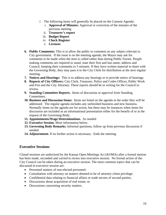- **□** The following items will generally be placed on the Consent Agenda:
	- i. **Approval of Minutes:** Approval or correction of the minutes of the previous meeting
	- ii. **Treasurer's report**
	- iii. **Budget Report**
	- iv. **Check Register**
	- v. **Licenses**
- **6. Public Comments:** This is to allow the public to comment on any subject relevant to City government. If the issue is on the meeting agenda, the Mayor may ask for comments to be made when the item is called rather than during Public Forum. People making comments are required to stand, state their first and last name, address and Council, keeping their comments to 5 minutes. If they have written material to share with the Governing Body, they may pass it to the City Clerk for distribution at the next regular meeting.
- **7. Notices and Hearings:** This is to address any hearings or to provide notice of hearings.
- **8. Reports of City Officers:** City Clerk, Treasurer, Police and Codes Officer, Public Work and Fire and the City Attorney**.** These reports should be in writing for the Council to review.
- **9. Standing Committee Reports.** Items of discussion or approval from Standing Committees.
- **10. Business and Discussion Items:** Items are listed on the agenda in the order they will be addressed. The regular agenda includes any unfinished business and new business. Normally items on the agenda are for action, but there may be instances when items for discussion are included as an informational presentation either for the benefit of or at the request of the Governing Body.
- **11. Appointments/Wage Determinations.** As needed
- **12. Executive Session.** More information below.
- **13. Governing Body Remarks.** Informal questions, follow up from previous discussion if needed.
- **14. Adjournment.** If no further action is necessary. Ends the meeting.

## **Executive Sessions**

Closed sessions are authorized by the Kansas Open Meetings Act (KOMA) after a formal motion has been made, seconded and carried to recess into executive session. No formal action of the City Council can be taken during an executive session. The most common topics that can be discussed in executive session are:

- Personnel matters of non-elected personnel;
- Consultation with attorney on matters deemed to be of attorney-client privilege;
- Confidential data relating to financial affairs or trade secrets of second parties;
- Discussions about acquisition of real estate; or
- Discussions concerning security matters.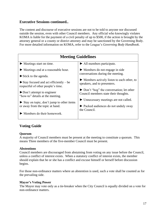## **Executive Sessions continued..**

The content and discourse of executive sessions are not to be told to anyone nor discussed outside the session, even with other Council members. Any official who knowingly violates KOMA is liable for the payment of a civil penalty of up to \$500, if the action is brought by the attorney general or a county or district attorney and may be sanctioned by the Governing Body. For more detailed information on KOMA, refer to the League's *Governing Body Handbook*.

| <b>Meeting Guidelines</b>                                                                    |                                                                                  |
|----------------------------------------------------------------------------------------------|----------------------------------------------------------------------------------|
| $\blacktriangleright$ Meetings start on time.                                                | $\blacktriangleright$ All members participate.                                   |
| $\blacktriangleright$ Meetings end at a reasonable hour.                                     | $\blacktriangleright$ Members do not engage in side                              |
| $\triangleright$ Stick to the agenda.                                                        | conversations during the meeting.                                                |
| $\triangleright$ Stay focused and act efficiently – be<br>respectful of other people's time. | Members actively listen to each other, to<br>speakers, and to presenters.        |
| $\triangleright$ Don't attempt to engineer<br>"how-to" details at the meeting.               | Don't "hog" the conversation; let other<br>Council members state their thoughts. |
| $\triangleright$ Stay on topic, don't jump to other items                                    | $\blacktriangleright$ Unnecessary meetings are not called.                       |
| or away from the topic at hand.                                                              | lacked audiences do not unduly sway<br>the Council.                              |
| Members do their homework.                                                                   |                                                                                  |

## **Voting Guide**

#### **Quorum**

A majority of Council members must be present at the meeting to constitute a quorum. This means Three members of the five-member Council must be present.

#### **Abstentions**

Council members are discouraged from abstaining from voting on any issue before the Council, unless a conflict of interest exists. When a statutory conflict of interest exists, the member should explain that he or she has a conflict and excuse himself or herself before discussion begins.

For those non-ordinance matters where an abstention is used, such a vote shall be counted as for the prevailing side.

#### **Mayor's Voting Power**

The Mayor may vote only as a tie-breaker when the City Council is equally divided on a vote for non-ordinance matters.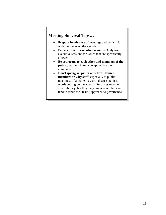## **Meeting Survival Tips…**

- **Prepare in advance** of meetings and be familiar with the issues on the agenda.
- **Be careful with executive sessions.** Only use executive sessions for issues that are specifically allowed.
- **Be courteous to each other and members of the public**; let them know you appreciate their comments.
- **Don't spring surprises on fellow Council members or City staff,** especially at public meetings. If a matter is worth discussing, it is worth putting on the agenda. Surprises may get you publicity, but they may embarrass others and tend to erode the "team" approach to governance.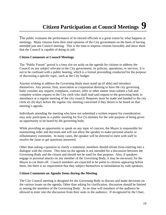The public evaluates the performance of its elected officials to a great extent by what happens at meetings. Many citizens form their total opinions of the City government on the basis of having attended just one Council meeting. This is the time to impress citizens favorably and show them that the Council is capable of doing its job.

## **Citizen Comments at Council Meetings**

The "Public Forum" period is a time slot set aside on the agenda for citizens to address the Council on any subject relevant to the City government, its policies, operations, or services. It is not to be confused with a public hearing, which is a formal proceeding conducted for the purpose of discussing a specific topic, such as the City budget.

Anyone wishing to address the Governing Body must stand up (if able) and introduce themselves. Any person, firm, association or corporation desiring to have the city governing body consider any request, complaint, contract, offer or other matter must submit a full and complete written request to the City clerk who shall read said request to the governing body in attendance at a regular meeting of the city council. Requests must be made and handed to the city clerk six (6) days before the regular city meeting concerned if they desire to be heard on that meeting's agenda.

Individuals attending the meeting who have not submitted a written request for consideration may only participate in a public meeting for five (5) minutes for the sole purpose of being given an opportunity to be heard by the governing body.

While providing an opportunity to speak on any topic of concern, the Mayor is responsible for maintaining order and decorum and will not allow the speaker to make personal attacks or inflammatory comments. In many cases, the speaker will be directed to meet with staff to resolve the issue or get questions answered.

Other than asking a question to clarify a statement, members should refrain from entering into a dialogue with the citizen. This time on the agenda is not intended for a discussion between the Governing Body and the citizen and should not be used for that purpose. Also, if speakers engage in personal attacks on any member of the Governing Body, it may be necessary for the Mayor to cut them off. Council members are expected to be polite to citizens appearing before them, but there is no requirement that they subject themselves to intimidation by rude speakers.

#### **Citizen Comments on Agenda Items during the Meeting**

The City Council meeting is designed for the Governing Body to discuss and make decisions on the various issues on the agenda. Other than asking for clarification, discussion should be limited to among the members of the Governing Body. At no time will members of the audience be allowed to enter into the discussion from their seats in the audience. If recognized by the Chair,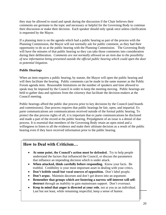they may be allowed to stand and speak during the discussion if the Chair believes their comments are germane to the topic and necessary or helpful for the Governing Body to continue their discussion or make their decision. Each speaker should only speak once unless clarification is requested by the Mayor.

If a planning item is on the agenda which had a public hearing as part of the process with the Planning Commission, the Mayor will not normally ask for public comment, as they had their opportunity to do so at the public hearing with the Planning Commission. The Governing Body will have the minutes of that public hearing so they can take those comments into consideration during their deliberation. *Comments are not normally allowed on an item due to the possibility of new information being presented outside the official public hearing which could open the door to potential litigation.*

## **Public Hearings**

When an item requires a public hearing, by statute, the Mayor will open the public hearing and will then facilitate the hearing. Public comments can be made in the same manner as the Public Forum agenda item. Reasonable limitations on the number of speakers and time allowed to speak may be imposed by the Council in order to keep the meeting moving. Public hearings are held to gather data and opinions from the citizenry that facilitate the decision-makers at the Council meeting.

Public hearings afford the public due process prior to key decisions by the Council (and boards and commissions). Due process requires that public hearings be fair, open, and impartial. Ex parte communications are communications received outside of the formal public hearing. To protect the due process rights of all, it is important that ex parte communications be disclosed and made a part of the record at the public hearing. Prejudgment of an issue is a denial of due process. It is essential that members of the Governing Body retain an open mind and a willingness to listen to all the evidence and make their ultimate decision as a result of the public hearing even if they have received information prior to the public hearing.

## **How to Deal with Criticism…**

- **At some point, the Council's action must be defended.** Try to help people understand the factors that influenced the Council, or discuss the parameters that influence an impending decision which is under attack.
- When attacked, think carefully before responding. Know your facts. Be truthful. Credibility is your most important asset in dealing with your critics.
- **Don't belittle small but vocal sources of opposition.** Don't label people.
- **Don't argue.** Maintain decorum and don't get drawn into an argument.
- **Remember that groups which are fostering a narrow self-interest will self**destruct through an inability to gain mainstream support. Don't overreact.
- **Keep in mind that anger is directed at your role**, not at you as an individual. Last but not least, while remaining respectful, keep a sense of humor.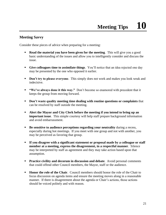## **Meeting Savvy**

Consider these pieces of advice when preparing for a meeting:

- **Read the material you have been given for the meeting.** This will give you a good basic understanding of the issues and allow you to intelligently consider and discuss the issue.
- **Give colleagues time to assimilate things**. You'll notice that an idea rejected one day may be presented by the one who opposed it earlier.
- **Don't try to please everyone.** This simply does not work and makes you look weak and indecisive.
- **"We've always done it this way."** Don't become so enamored with precedent that it keeps the group from moving forward.
- **Don't waste quality meeting time dealing with routine questions or complaints** that can be resolved by staff outside the meeting.
- **Alert the Mayor and City Clerk before the meeting if you intend to bring up an important issue**. This simple courtesy will help staff prepare background information and avoid embarrassment.
- **Be sensitive to audience perceptions regarding your neutrality** during a recess, especially during hot meetings. If you meet with one group and not with another, you may be perceived as favoring that group.
- **If you disagree with a significant statement or proposal made by a colleague or staff member at a meeting, express the disagreement, in a respectful manner**. Silence may be interpreted by staff as agreement and they may take action based upon that assumption.
- **Practice civility and decorum in discussion and debate**. Avoid personal comments that could offend other Council members, the Mayor, staff or the audience.
- **EXECUTE:** Honor the role of the Chair. Council members should honor the role of the Chair to focus discussion on agenda items and ensure the meeting moves along in a reasonable manner. If there is disagreement about the agenda or Chair's actions, those actions should be voiced politely and with reason.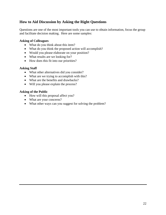## **How to Aid Discussion by Asking the Right Questions**

Questions are one of the most important tools you can use to obtain information, focus the group and facilitate decision making. Here are some samples:

#### **Asking of Colleagues**

- What do you think about this item?
- What do you think the proposed action will accomplish?
- Would you please elaborate on your position?
- What results are we looking for?
- How does this fit into our priorities?

#### **Asking Staff**

- What other alternatives did you consider?
- What are we trying to accomplish with this?
- What are the benefits and drawbacks?
- Will you please explain the process?

#### **Asking of the Public**

- How will this proposal affect you?
- What are your concerns?
- What other ways can you suggest for solving the problem?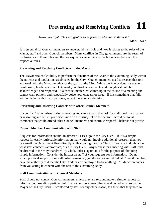# **Preventing and Resolving Conflicts 11**

*"Always do right. This will gratify some people and astonish the rest."* -- Mark Twain

It is essential for Council members to understand their role and how it relates to the roles of the Mayor, staff and other Council members. Many conflicts in City governments are the result of confusion as to these roles and the consequent overstepping of the boundaries between the respective roles.

#### **Preventing and Resolving Conflicts with the Mayor**

The Mayor retains flexibility to perform the functions of the Chair of the Governing Body within the policies and regulations established by the City. Council members need to respect that role and work with the Mayor to advance the goals of the City. While the Mayor does not vote on most issues, he/she is elected City-wide, and his/her comments and thoughts should be acknowledged and respected. If a conflict/matter that comes up in the course of a meeting and cannot wait, politely and respectfully voice your concern or issue. If it is something that falls within his/her authority or purview, accept the Mayor's decision.

#### **Preventing and Resolving Conflicts with other Council Members**

If a conflict/matter arises during a meeting and cannot wait, then ask for additional clarification or reasoning and center your discussion on the issue, not on the person. Avoid personal comments that could offend other Council members and continue respectful behavior in private.

#### **Council Member Communication with Staff**

Requests for information should, in almost all cases, go to the City Clerk. If it is a simple request for easily retrievable information that would not involve additional research, then you can email the Department Head directly while copying the City Clerk. If you are in doubt about what staff contact is appropriate, ask the City Clerk. Any request for a meeting with staff must be directed to the Mayor and/or City Clerk, unless, again, it is for the purpose of obtaining simple information. Consider the impact on staff of your requests for information. Do not solicit political support from staff. Also remember, you do not, as an individual Council member, have the authority to direct the City Clerk or any employee to do anything. All direction comes from you acting in concert with the rest of the Governing Body.

#### **Staff Communication with Council Members**

Staff should not contact Council members, unless they are responding to a simple request for information, providing pertinent information, or have been otherwise directed to do so by the Mayor or the City Clerk. If contacted by staff for any other reason, tell them that they need to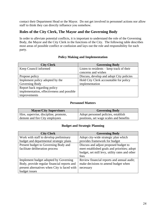contact their Department Head or the Mayor. Do not get involved in personnel actions nor allow staff to think they can directly influence you somehow.

## **Roles of the City Clerk, The Mayor and the Governing Body**

In order to alleviate potential conflicts, it is important to understand the role of the Governing Body, the Mayor and the City Clerk in the functions of the City. The following table describes most areas of possible conflict or confusion and lays out the role and responsibility for each party.

#### **Policy Making and Implementation**

| <b>City Clerk</b>                          | <b>Governing Body</b>                       |
|--------------------------------------------|---------------------------------------------|
| Keep Council informed                      | Listen to residents $-$ keep track of their |
|                                            | concerns and wishes                         |
| Propose policy                             | Discuss, develop and adopt City policies    |
| Implement policy adopted by the            | Hold City Clerk accountable for policy      |
| Governing Body                             | implementation                              |
| Report back regarding policy               |                                             |
| implementation, effectiveness and possible |                                             |
| improvements                               |                                             |

#### **Personnel Matters**

| <b>Mayor/City Supervisors</b>         | <b>Governing Body</b>                   |
|---------------------------------------|-----------------------------------------|
| Hire, supervise, discipline, promote, | Adopt personnel policies, establish     |
| demote and fire City employees        | positions, set wage scales and benefits |

#### **Budget and Strategic Planning**

| <b>City Clerk</b>                                                       | <b>Governing Body</b>                                                                                                                           |
|-------------------------------------------------------------------------|-------------------------------------------------------------------------------------------------------------------------------------------------|
| Work with staff to develop preliminary                                  | Adopt city-wide strategic plan which                                                                                                            |
| budget and departmental strategic plans                                 | provides framework for budget                                                                                                                   |
| Present budget to Governing Body and<br>facilitate deliberation process | Discuss and adjust proposed budget to<br>meet established goals and priorities; adopt<br>budget, set mill levy, utility rates and other<br>fees |
| Implement budget adopted by Governing                                   | Review financial reports and annual audit;                                                                                                      |
| Body, provide regular financial reports and                             | make decisions to amend budget when                                                                                                             |
| present alternatives when City is faced with                            | necessary                                                                                                                                       |
| budget issues                                                           |                                                                                                                                                 |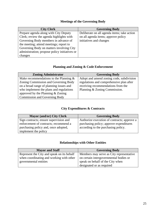## **Meetings of the Governing Body**

| <b>City Clerk</b>                             | <b>Governing Body</b>                       |
|-----------------------------------------------|---------------------------------------------|
| Prepare agenda along with City Deputy         | Deliberate on all agenda items; take action |
| Clerk; review the agenda highlights with      | on all agenda items; approve policy         |
| Governing Body members in advance of          | initiatives and changes                     |
| the meeting; attend meetings; report to       |                                             |
| Governing Body on matters involving City      |                                             |
| administration; propose policy initiatives or |                                             |
| changes                                       |                                             |

## **Planning and Zoning & Code Enforcement**

| <b>Zoning Administrator</b>               | <b>Governing Body</b>                    |
|-------------------------------------------|------------------------------------------|
| Make recommendations to the Planning $\&$ | Adopt and amend zoning code, subdivision |
| Zoning Commission and Governing Body      | regulations and comprehensive plan after |
| on a broad range of planning issues and   | receiving recommendations from the       |
| who implement the plans and regulations   | Planning & Zoning Commission.            |
| approved by the Planning $& Zoning$       |                                          |
| <b>Commission and Governing Body</b>      |                                          |

## **City Expenditures & Contracts**

| <b>Mayor (and/or) City Clerk</b>       | <b>Governing Body</b>                       |
|----------------------------------------|---------------------------------------------|
| Sign contracts; ensure supervision and | Authorize execution of contracts; approve a |
| enforcement of contracts; recommend a  | purchasing policy; approve expenditures     |
| purchasing policy and, once adopted,   | according to the purchasing policy.         |
| implement the policy                   |                                             |

## **Relationships with Other Entities**

| <b>Mayor and Staff</b>                     | <b>Governing Body</b>                    |
|--------------------------------------------|------------------------------------------|
| Represent the City and speak on its behalf | Members may serve as City representative |
| when coordinating and working with other   | on certain intergovernmental bodies or   |
| governmental entities                      | speak on behalf of the City when         |
|                                            | designated or as required                |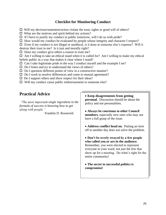## **Checklist for Monitoring Conduct**

 $\Box$  Will my decision/statement/action violate the trust, rights or good will of others?

 $\Box$  What are the motives and spirit behind my actions?

 $\Box$  If I have to justify my conduct in public tomorrow, will I do so with pride?

 $\Box$  How would my conduct be evaluated by people whose integrity and character I respect?

 $\Box$  Even if my conduct is not illegal or unethical, is it done at someone else's expense? Will it

destroy their trust in me? Is it just and morally right?

 $\Box$  Does my conduct give others a reason to trust me?

 $\Box$  Am I willing to take an ethical stand when it is called for? Am I willing to make my ethical beliefs public in a way that makes it clear where I stand?

 $\Box$  Can I take legitimate pride in the way I conduct myself and the example I set?

- $\Box$  Do I listen and try to understand the views of others?
- $\square$  Do I question different points of view in a constructive manner?
- $\square$  Do I work to resolve differences and come to mutual agreement?
- $\square$  Do I support others and show respect for their ideas?
- $\Box$  Will my conduct cause public embarrassment to someone else?

## **Practical Advice**

*"The most important single ingredient in the formula of success is knowing how to get along with people."*

Franklin D. Roosevelt

• **Keep disagreements from getting personal**. Discussion should be about the policy and not personalities.

• **Always be courteous to other Council members**, especially new ones who may not have a full grasp of the issue.

• **Address conflict head on.** Putting an item off to another day does not solve the problem.

• **Don't be overly swayed by a few people who called you or are in the audience.** Remember, you were elected to represent everyone in your ward, not just the few that show up for a meeting. Do what's right for the entire community!

• **The secret to successful politics is compromise!**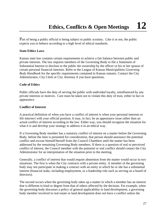Part of being a public official is being subject to public scrutiny. Like it or not, the public expects you to behave according to a high level of ethical standards.

## **State Ethics Laws**

Kansas state law contains certain requirements to achieve a fair balance between public and private interests. The law requires members of the Governing Body to file a Statement of Substantial Interest to disclose to the public the ownership by the officer or his or her spouse of certain personal financial interests. Refer to the League of Kansas Municipalities *Governing Body Handbook* for the specific requirements contained in Kansas statutes. Contact the City Administrator, City Clerk or City Attorney if you have questions.

#### **Code of Ethics**

Public officials have the duty of serving the public with undivided loyalty, uninfluenced by any private interests or motives. Care must be taken not to violate this duty of trust, either in fact or appearance.

#### **Conflict of Interest**

A practical definition of when you have a conflict of interest is when your personal interests or life intersect with your official position. It may, in fact, be an appearance issue rather than an actual conflict of interest according to the law. Either way, you should recognize the situation for what it is and develop your strategy to address it in an ethical way.

If a Governing Body member has a statutory conflict of interest on a matter before the Governing Body, before the item is presented for consideration, that person should announce the potential conflict and excuse himself/herself from the Council Chambers until the matter has been addressed by the remaining Governing Body members. If there is a question of real or perceived conflict of interest, the Council member with the potential or real conflict should contact the City Administrator for an interpretation of the situation prior to the meeting.

Generally, a conflict of interest that would require abstention from the matter would occur in two situations. The first is when the City contracts with a private entity. A member of the governing body may not participate in making a contract with an entity in which he or she has a substantial interest (financial stake, including employment, or a leadership role such as serving on a board of directors).

The second occurs when the governing body takes up a matter in which a member has an interest that is different in kind or degree from that of others affected by the decision. For example, when the governing body discusses a policy of general applicability to land development, a governing body member involved in real estate or land development does not have a conflict unless the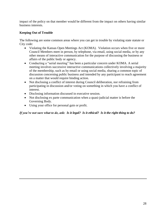impact of the policy on that member would be different from the impact on others having similar business interests.

## **Keeping Out of Trouble**

The following are some common areas where you can get in trouble by violating state statute or City code:

- Violating the Kansas Open Meetings Act (KOMA). Violation occurs when five or more Council Members meet in person, by telephone, via email, using social media, or by any other means of interactive communication for the purpose of discussing the business or affairs of the public body or agency.
- Conducting a "serial meeting" has been a particular concern under KOMA. A serial meeting involves successive interactive communications collectively involving a majority of the membership, such as by email or using social media, sharing a common topic of discussion concerning public business and intended by any participant to reach agreement on a matter that would require binding action.
- Not disclosing a conflict of interest during Council deliberation, nor refraining from participating in discussion and/or voting on something in which you have a conflict of interest.
- Disclosing information discussed in executive session.
- Not disclosing ex parte communication when a quasi-judicial matter is before the Governing Body.
- Using your office for personal gain or profit.

## *If you're not sure what to do, ask: Is it legal? Is it ethical? Is it the right thing to do?*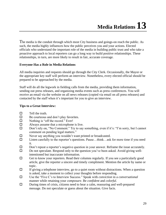The media is the conduit through which most City business and goings-on reach the public. As such, the media highly influences how the public perceives you and your actions. Elected officials who understand the important role of the media in building public trust and who take a proactive approach to local reporters can go a long way to build positive relationships. These relationships, in turn, are more likely to result in fair, accurate coverage.

#### **Everyone Has a Role in Media Relations**

All media inquiries and requests should go through the City Clerk. Occasionally, the Mayor or the appropriate key staff will perform an interview. Nonetheless, every elected official should be prepared to be approached by the media.

Staff will do all the legwork in fielding calls from the media, providing them information, sending out press releases, and organizing media events such as press conferences. You will receive an email via the website on all news releases (copied via email on all press releases) and contacted by the staff when it's important for you to give an interview.

#### **Tips to a Great Interview:**

- $\Box$  Tell the truth.
- $\Box$  Be courteous and don't play favorites.
- $\Box$  Nothing is "off the record." Ever!
- $\Box$  Always assume that a microphone is live.
- Don't rely on, "No Comment." Try to say something, even if it's: "I'm sorry, but I cannot comment on pending legal matters."
- $\square$  Never say anything you wouldn't want printed or broadcasted.
- $\square$  Listen carefully to the reporter's questions. Pause...think...ask for more time if you need it.
- Don't repeat a reporter's negative question in your answer. Reframe the issue accurately.
- $\square$  Do not speculate. Respond only to the question you've been asked. Avoid giving wellintentioned but inaccurate information.
- $\Box$  Get to know your reporters. Read their columns regularly. If you see a particularly good article, give the reporter a sincere and timely compliment. Mention the article by name or topic.
- $\Box$  If giving a telephone interview, go to a quiet room without distractions. When a question is asked, take a moment to collect your thoughts before responding.
- Use the "Five C's to Interview Success." Speak with *conviction* in a *conversational* manner while retaining your *composure*. Be *confident* and *colorful*.
- $\square$  During times of crisis, citizens need to hear a calm, reassuring and well-prepared message. Do not speculate or guess about the situation. Give facts.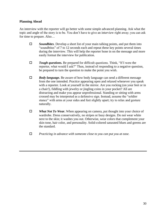#### **Planning Ahead**

An interview with the reporter will go better with some simple advanced planning. Ask what the topic and angle of the story is to be. You don't have to give an interview right away; you can ask for time to prepare. Also…

- *Soundbites*. Develop a short list of your main talking points, and put them into "soundbites" of 7 to 12 seconds each and repeat these key points several times during the interview. This will help the reporter hone in on the message and more easily format the interview for publication.
- *Tough questions.* Be prepared for difficult questions. Think, "If I were the reporter, what would I ask?" Then, instead of responding to a negative question, be prepared to turn the question to make the point you wish.
- *Body language.* Be aware of how body language can send a different message from the one intended. Practice appearing open and relaxed whenever you speak with a reporter. Look at yourself in the mirror. Are you rocking (on your feet or in a chair!), fiddling with jewelry or jingling coins in your pocket? All are distracting and make you appear unprofessional. Standing or sitting with arms crossed may be interpreted as a defensive sign. Instead, assume the "soldier stance" with arms at your sides and feet slightly apart; try to relax and gesture naturally.
- *What Not To Wear***.** When appearing on camera, put thought into your choice of wardrobe. Dress conservatively, no stripes or busy designs. Do not wear white next to the skin; it washes you out. Otherwise, wear colors that complement your skin tone, hair color, and personality. Solid-colored saturated blues and greens are the standard.
- *Practicing in advance with someone close to you can put you at ease.*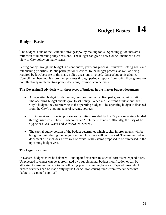## **Budget Basics**

The budget is one of the Council's strongest policy-making tools. Spending guidelines are a reflection of numerous policy decisions. The budget can give a new Council member a clear view of City policy on many issues.

Setting policy through the budget is a continuous, year-long process. It involves setting goals and establishing priorities. Public participation is critical to the budget process, as well as being required by law, because of the many policy decisions involved. Once a budget is adopted, Council members monitor program progress through periodic reports from staff. If programs are not effectively implementing policy decisions, revisions can be made.

#### **The Governing Body deals with three** *types* **of budgets in the master budget document:**

- An operating budget for delivering services like police, fire, parks, and administration. The operating budget enables you to set policy. When most citizens think about their City's budget, they're referring to the operating budget. The operating budget is financed from the City's ongoing general revenue sources.
- Utility services or special proprietary facilities provided by the City are separately funded through user fees. These funds are called "Enterprise Funds." Officially, the City of La Cygne has Gas, Water and Wastewater (Sewer).
- The capital outlay portion of the budget determines which capital improvements will be bought or built during the budget year and how they will be financed. The master budget document also includes a breakout of capital outlay items proposed to be purchased in the upcoming budget year.

#### **The Legal Document**

In Kansas, budgets must be balanced – anticipated revenues must equal forecasted expenditures. Unexpected revenues can be appropriated by a supplemental budget modification or can be allocated to reserve funds or to the following year's beginning balance. Expenditures which exceed revenues can be made only by the Council transferring funds from reserve accounts (subject to Council approval).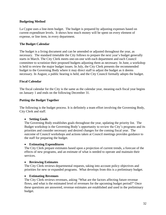#### **Budgeting Method**

La Cygne uses a line-item budget. The budget is prepared by adjusting expenses based on current expenditure levels. It shows how much money will be spent on every element of expense, or line item, in every department.

#### **The Budget Calendar**

The budget is a living document and can be amended or adjusted throughout the year, as necessary. The standard timetable the City follows to prepare the next year's budget generally starts in March. The City Clerk meets one-on-one with each department and each Council committee to scrutinize their proposed budgets adjusting them as necessary. In June, a workshop is held to review the major budget issues. In July, the City Clerk presents the recommended budget to the Governing Body where it may direct staff to adjust the budget as it deems necessary. In August, a public hearing is held, and the City Council formally adopts the budget.

#### **Fiscal Calendar**

The fiscal calendar for the City is the same as the calendar year, meaning each fiscal year begins on January 1 and ends on the following December 31.

#### **Putting the Budget Together**

The following is the budget process. It is definitely a team effort involving the Governing Body, City Clerk and staff.

#### • **Setting Goals**

The Governing Body establishes goals throughout the year, updating the priority list. The Budget workshop is the Governing Body's opportunity to review the City's programs and its priorities and consider necessary and desired changes for the coming fiscal year. The outcome of Council workshops and actions taken at Council meetings provides guidance to the staff for preparing the budget.

#### • **Estimating Expenditures**

The City Clerk prepare estimates based upon a projection of current trends, a forecast of the effects of new programs, and an estimate of what is needed to operate and maintain their services.

#### • **Reviewing Estimates**

The City Clerk reviews departmental requests, taking into account policy objectives and priorities for new or expanded programs. What develops from this is a preliminary budget.

#### • **Estimating Revenues**

The City Clerk reviews revenues, asking "What are the factors affecting future revenue flows, and what is the estimated level of revenues for the upcoming budget period?" Once these questions are answered, revenue estimates are established and used in the preliminary budget.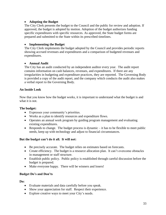#### • **Adopting the Budget**

The City Clerk presents the budget to the Council and the public for review and adoption. If approved, the budget is adopted by motion. Adoption of the budget authorizes funding specific expenditures with specific resources. As approved, the State budget forms are prepared and submitted to the State within its prescribed timelines.

## • **Implementing the Budget**

The City Clerk implements the budget adopted by the Council and provides periodic reports showing accrued revenues and expenditures and a comparison of budgeted revenues and expenditures.

## • **Annual Audit**

The City has an audit conducted by an independent auditor every year. The audit report contains information on cash balances, revenues, and expenditures. If there are any irregularities in budgeting and expenditure practices, they are reported. The Governing Body is provided a copy of the audit report, and the company which conducts the audit also makes a verbal report to the Governing Body.

## **An Inside Look**

Now that you know how the budget works, it is important to understand what the budget is and what it is not.

#### **The budget:**

- Expresses your community's priorities.
- Works as a plan to identify resources and expenditure flows.
- Operates an annual work program by guiding program management and evaluating existing expenditures.
- Responds to change. The budget process is dynamic it has to be flexible to meet public needs, keep up with technology and adjust to financial circumstances.

## **But the budget can't do it all. It will not:**

- Be precisely accurate. The budget relies on estimates based on forecasts.
- Create efficiency. The budget is a resource allocation plan. It can't overcome obstacles in management or staff structure.
- Establish public policy. Public policy is established through careful discussion before the budget is prepared.
- Make everyone happy. There will be winners and losers!

## **Budget Do's and Don'ts**

**Do:**

- Evaluate materials and data carefully before you speak.
- Show your appreciation for staff. Respect their experience.
- Explore creative ways to meet your City's needs.